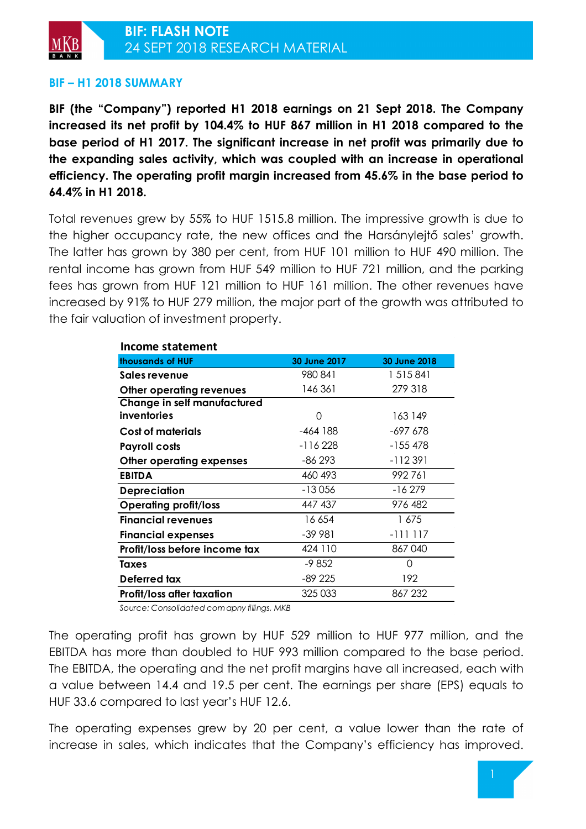

# **BIF – H1 2018 SUMMARY**

**BIF (the "Company") reported H1 2018 earnings on 21 Sept 2018. The Company increased its net profit by 104.4% to HUF 867 million in H1 2018 compared to the base period of H1 2017. The significant increase in net profit was primarily due to the expanding sales activity, which was coupled with an increase in operational efficiency. The operating profit margin increased from 45.6% in the base period to 64.4% in H1 2018.** 

Total revenues grew by 55% to HUF 1515.8 million. The impressive growth is due to the higher occupancy rate, the new offices and the Harsánylejtő sales' growth. The latter has grown by 380 per cent, from HUF 101 million to HUF 490 million. The rental income has grown from HUF 549 million to HUF 721 million, and the parking fees has grown from HUF 121 million to HUF 161 million. The other revenues have increased by 91% to HUF 279 million, the major part of the growth was attributed to the fair valuation of investment property.

| <b>Income statement</b>       |              |              |
|-------------------------------|--------------|--------------|
| thousands of HUF              | 30 June 2017 | 30 June 2018 |
| Sales revenue                 | 980 841      | 1 515 841    |
| Other operating revenues      | 146 361      | 279 318      |
| Change in self manufactured   |              |              |
| inventories                   | O            | 163 149      |
| Cost of materials             | -464 188     | -697 678     |
| <b>Payroll costs</b>          | -116 228     | $-155478$    |
| Other operating expenses      | -86 293      | -112391      |
| <b>EBITDA</b>                 | 460 493      | 992761       |
| <b>Depreciation</b>           | $-13056$     | $-16279$     |
| <b>Operating profit/loss</b>  | 447 437      | 976 482      |
| <b>Financial revenues</b>     | 16 654       | 1675         |
| <b>Financial expenses</b>     | $-39991$     | $-111117$    |
| Profit/loss before income tax | 424 110      | 867040       |
| Taxes                         | -9852        | $\Omega$     |
| Deferred tax                  | -89 225      | 192          |
| Profit/loss after taxation    | 325 033      | 867 232      |

*Source: Consolidated com apny fillings, MKB*

The operating profit has grown by HUF 529 million to HUF 977 million, and the EBITDA has more than doubled to HUF 993 million compared to the base period. The EBITDA, the operating and the net profit margins have all increased, each with a value between 14.4 and 19.5 per cent. The earnings per share (EPS) equals to HUF 33.6 compared to last year's HUF 12.6.

The operating expenses grew by 20 per cent, a value lower than the rate of increase in sales, which indicates that the Company's efficiency has improved.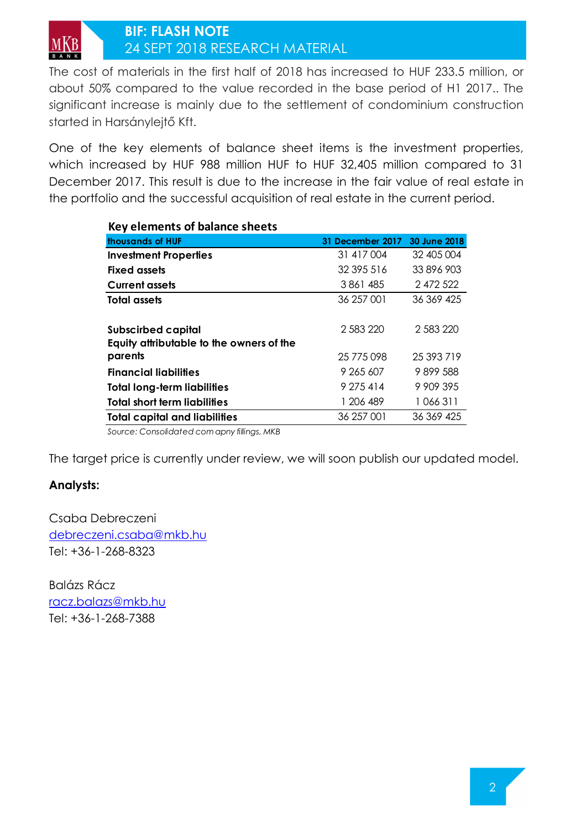The cost of materials in the first half of 2018 has increased to HUF 233.5 million, or about 50% compared to the value recorded in the base period of H1 2017.. The significant increase is mainly due to the settlement of condominium construction started in Harsánylejtő Kft.

One of the key elements of balance sheet items is the investment properties, which increased by HUF 988 million HUF to HUF 32,405 million compared to 31 December 2017. This result is due to the increase in the fair value of real estate in the portfolio and the successful acquisition of real estate in the current period.

| Key elements of balance sheets           |                  |              |
|------------------------------------------|------------------|--------------|
| thousands of HUF                         | 31 December 2017 | 30 June 2018 |
| <b>Investment Properties</b>             | 31 417 004       | 32 405 004   |
| <b>Fixed assets</b>                      | 32 395 516       | 33 896 903   |
| <b>Current assets</b>                    | 3861485          | 2472522      |
| Total assets                             | 36 257 001       | 36 369 425   |
| <b>Subscirbed capital</b>                | 2 583 220        | 2 583 220    |
| Equity attributable to the owners of the |                  |              |
| parents                                  | 25 775 098       | 25 393 719   |
| <b>Financial liabilities</b>             | 9 265 607        | 9899588      |
| <b>Total long-term liabilities</b>       | 9 275 414        | 9 909 395    |
| <b>Total short term liabilities</b>      | 1 206 489        | 1 066 311    |
| <b>Total capital and liabilities</b>     | 36 257 001       | 36 369 425   |

*Source: Consolidated com apny fillings, MKB*

The target price is currently under review, we will soon publish our updated model.

## **Analysts:**

Csaba Debreczeni debreczeni.csaba@mkb.hu Tel: +36-1-268-8323

Balázs Rácz racz.balazs@mkb.hu Tel: +36-1-268-7388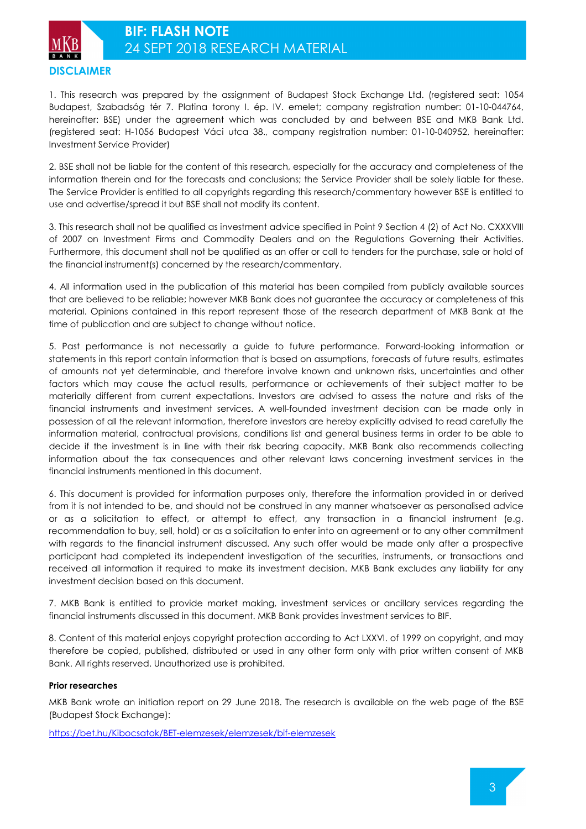

1. This research was prepared by the assignment of Budapest Stock Exchange Ltd. (registered seat: 1054 Budapest, Szabadság tér 7. Platina torony I. ép. IV. emelet; company registration number: 01-10-044764, hereinafter: BSE) under the agreement which was concluded by and between BSE and MKB Bank Ltd. (registered seat: H-1056 Budapest Váci utca 38., company registration number: 01-10-040952, hereinafter: Investment Service Provider)

2. BSE shall not be liable for the content of this research, especially for the accuracy and completeness of the information therein and for the forecasts and conclusions; the Service Provider shall be solely liable for these. The Service Provider is entitled to all copyrights regarding this research/commentary however BSE is entitled to use and advertise/spread it but BSE shall not modify its content.

3. This research shall not be qualified as investment advice specified in Point 9 Section 4 (2) of Act No. CXXXVIII of 2007 on Investment Firms and Commodity Dealers and on the Regulations Governing their Activities. Furthermore, this document shall not be qualified as an offer or call to tenders for the purchase, sale or hold of the financial instrument(s) concerned by the research/commentary.

4. All information used in the publication of this material has been compiled from publicly available sources that are believed to be reliable; however MKB Bank does not guarantee the accuracy or completeness of this material. Opinions contained in this report represent those of the research department of MKB Bank at the time of publication and are subject to change without notice.

5. Past performance is not necessarily a guide to future performance. Forward-looking information or statements in this report contain information that is based on assumptions, forecasts of future results, estimates of amounts not yet determinable, and therefore involve known and unknown risks, uncertainties and other factors which may cause the actual results, performance or achievements of their subject matter to be materially different from current expectations. Investors are advised to assess the nature and risks of the financial instruments and investment services. A well-founded investment decision can be made only in possession of all the relevant information, therefore investors are hereby explicitly advised to read carefully the information material, contractual provisions, conditions list and general business terms in order to be able to decide if the investment is in line with their risk bearing capacity. MKB Bank also recommends collecting information about the tax consequences and other relevant laws concerning investment services in the financial instruments mentioned in this document.

6. This document is provided for information purposes only, therefore the information provided in or derived from it is not intended to be, and should not be construed in any manner whatsoever as personalised advice or as a solicitation to effect, or attempt to effect, any transaction in a financial instrument (e.g. recommendation to buy, sell, hold) or as a solicitation to enter into an agreement or to any other commitment with regards to the financial instrument discussed. Any such offer would be made only after a prospective participant had completed its independent investigation of the securities, instruments, or transactions and received all information it required to make its investment decision. MKB Bank excludes any liability for any investment decision based on this document.

7. MKB Bank is entitled to provide market making, investment services or ancillary services regarding the financial instruments discussed in this document. MKB Bank provides investment services to BIF.

8. Content of this material enjoys copyright protection according to Act LXXVI. of 1999 on copyright, and may therefore be copied, published, distributed or used in any other form only with prior written consent of MKB Bank. All rights reserved. Unauthorized use is prohibited.

## **Prior researches**

MKB Bank wrote an initiation report on 29 June 2018. The research is available on the web page of the BSE (Budapest Stock Exchange):

https://bet.hu/Kibocsatok/BET-elemzesek/elemzesek/bif-elemzesek